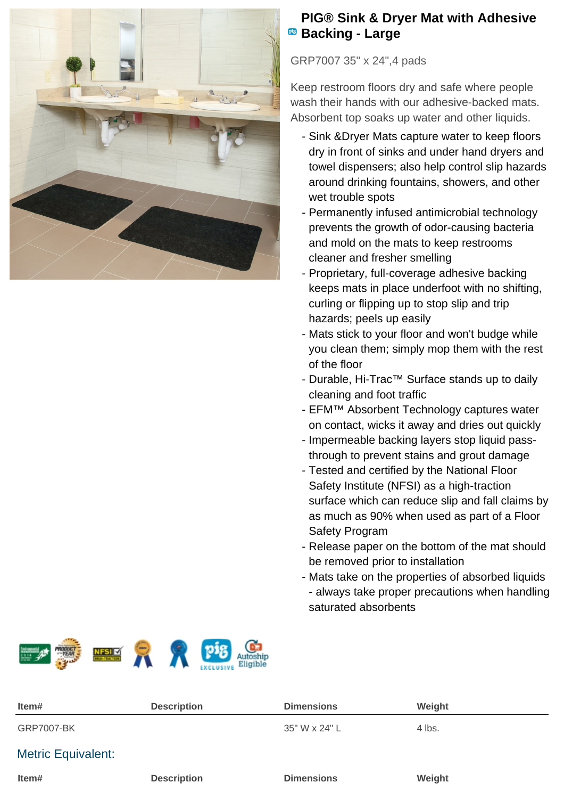

## **PIG® Sink & Dryer Mat with Adhesive Backing - Large**

GRP7007 35" x 24",4 pads

Keep restroom floors dry and safe where people wash their hands with our adhesive-backed mats. Absorbent top soaks up water and other liquids.

- Sink &Dryer Mats capture water to keep floors dry in front of sinks and under hand dryers and towel dispensers; also help control slip hazards around drinking fountains, showers, and other wet trouble spots
- Permanently infused antimicrobial technology prevents the growth of odor-causing bacteria and mold on the mats to keep restrooms cleaner and fresher smelling
- Proprietary, full-coverage adhesive backing keeps mats in place underfoot with no shifting, curling or flipping up to stop slip and trip hazards; peels up easily
- Mats stick to your floor and won't budge while you clean them; simply mop them with the rest of the floor
- Durable, Hi-Trac™ Surface stands up to daily cleaning and foot traffic
- EFM™ Absorbent Technology captures water on contact, wicks it away and dries out quickly
- Impermeable backing layers stop liquid passthrough to prevent stains and grout damage
- Tested and certified by the National Floor Safety Institute (NFSI) as a high-traction surface which can reduce slip and fall claims by as much as 90% when used as part of a Floor Safety Program
- Release paper on the bottom of the mat should be removed prior to installation
- Mats take on the properties of absorbed liquids - always take proper precautions when handling saturated absorbents



| Item#                     | <b>Description</b> | <b>Dimensions</b> | Weight |
|---------------------------|--------------------|-------------------|--------|
| <b>GRP7007-BK</b>         |                    | 35" W x 24" L     | 4 lbs. |
| <b>Metric Equivalent:</b> |                    |                   |        |
| Item#                     | <b>Description</b> | <b>Dimensions</b> | Weight |